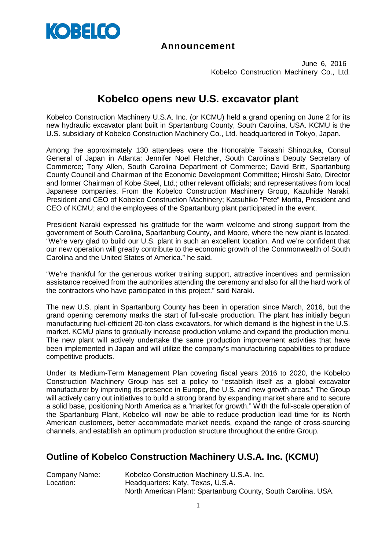

#### **Announcement**

June 6, 2016 Kobelco Construction Machinery Co., Ltd.

## **Kobelco opens new U.S. excavator plant**

Kobelco Construction Machinery U.S.A. Inc. (or KCMU) held a grand opening on June 2 for its new hydraulic excavator plant built in Spartanburg County, South Carolina, USA. KCMU is the U.S. subsidiary of Kobelco Construction Machinery Co., Ltd. headquartered in Tokyo, Japan.

Among the approximately 130 attendees were the Honorable Takashi Shinozuka, Consul General of Japan in Atlanta; Jennifer Noel Fletcher, South Carolina's Deputy Secretary of Commerce; Tony Allen, South Carolina Department of Commerce; David Britt, Spartanburg County Council and Chairman of the Economic Development Committee; Hiroshi Sato, Director and former Chairman of Kobe Steel, Ltd.; other relevant officials; and representatives from local Japanese companies. From the Kobelco Construction Machinery Group, Kazuhide Naraki, President and CEO of Kobelco Construction Machinery; Katsuhiko "Pete" Morita, President and CEO of KCMU; and the employees of the Spartanburg plant participated in the event.

President Naraki expressed his gratitude for the warm welcome and strong support from the government of South Carolina, Spartanburg County, and Moore, where the new plant is located. "We're very glad to build our U.S. plant in such an excellent location. And we're confident that our new operation will greatly contribute to the economic growth of the Commonwealth of South Carolina and the United States of America." he said.

"We're thankful for the generous worker training support, attractive incentives and permission assistance received from the authorities attending the ceremony and also for all the hard work of the contractors who have participated in this project." said Naraki.

The new U.S. plant in Spartanburg County has been in operation since March, 2016, but the grand opening ceremony marks the start of full-scale production. The plant has initially begun manufacturing fuel-efficient 20-ton class excavators, for which demand is the highest in the U.S. market. KCMU plans to gradually increase production volume and expand the production menu. The new plant will actively undertake the same production improvement activities that have been implemented in Japan and will utilize the company's manufacturing capabilities to produce competitive products.

Under its Medium-Term Management Plan covering fiscal years 2016 to 2020, the Kobelco Construction Machinery Group has set a policy to "establish itself as a global excavator manufacturer by improving its presence in Europe, the U.S. and new growth areas." The Group will actively carry out initiatives to build a strong brand by expanding market share and to secure a solid base, positioning North America as a "market for growth." With the full-scale operation of the Spartanburg Plant, Kobelco will now be able to reduce production lead time for its North American customers, better accommodate market needs, expand the range of cross-sourcing channels, and establish an optimum production structure throughout the entire Group.

### **Outline of Kobelco Construction Machinery U.S.A. Inc. (KCMU)**

| Kobelco Construction Machinery U.S.A. Inc.                     |
|----------------------------------------------------------------|
| Headquarters: Katy, Texas, U.S.A.                              |
| North American Plant: Spartanburg County, South Carolina, USA. |
|                                                                |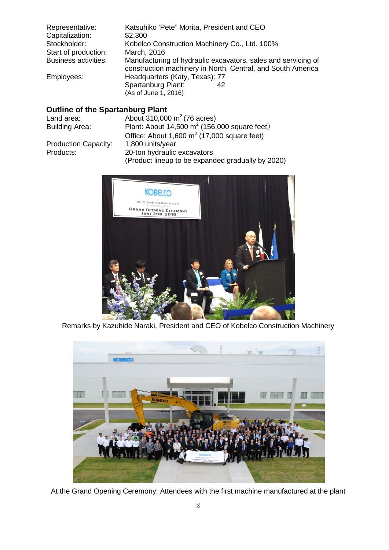| Katsuhiko 'Pete" Morita, President and CEO                                                                                   |
|------------------------------------------------------------------------------------------------------------------------------|
| \$2,300                                                                                                                      |
| Kobelco Construction Machinery Co., Ltd. 100%                                                                                |
| March, 2016                                                                                                                  |
| Manufacturing of hydraulic excavators, sales and servicing of<br>construction machinery in North, Central, and South America |
| Headquarters (Katy, Texas): 77                                                                                               |
| Spartanburg Plant:<br>42<br>(As of June 1, 2016)                                                                             |
|                                                                                                                              |

## **Outline of the Spartanburg Plant**

| Land area:                  | About 310,000 $m^2$ (76 acres)                    |
|-----------------------------|---------------------------------------------------|
| <b>Building Area:</b>       | Plant: About 14,500 $m^2$ (156,000 square feet)   |
|                             | Office: About 1,600 $m^2$ (17,000 square feet)    |
| <b>Production Capacity:</b> | 1,800 units/year                                  |
| Products:                   | 20-ton hydraulic excavators                       |
|                             | (Product lineup to be expanded gradually by 2020) |



Remarks by Kazuhide Naraki, President and CEO of Kobelco Construction Machinery



At the Grand Opening Ceremony: Attendees with the first machine manufactured at the plant